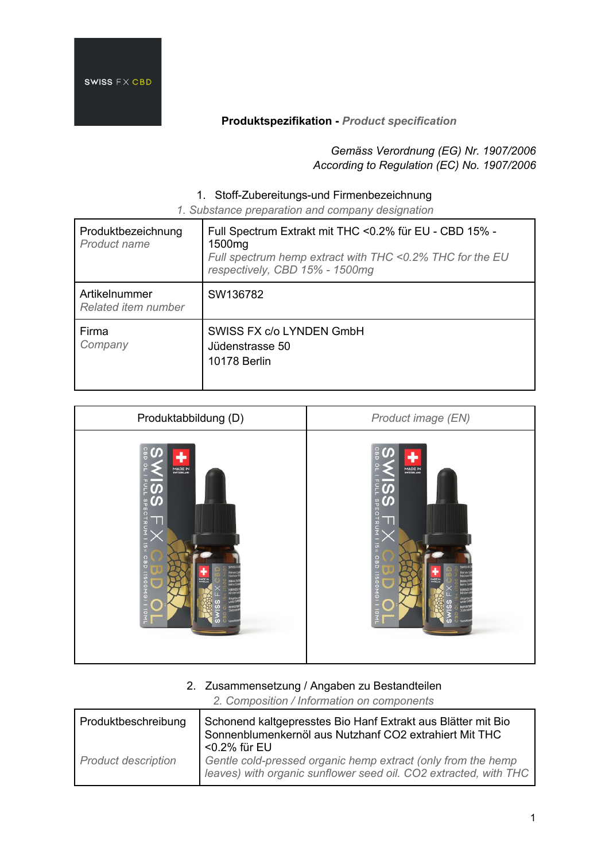

*Gemäss Verordnung (EG) Nr. 1907/2006 According to Regulation (EC) No. 1907/2006*

### 1. Stoff-Zubereitungs-und Firmenbezeichnung

*1. Substance preparation and company designation*

| Produktbezeichnung<br>Product name   | Full Spectrum Extrakt mit THC <0.2% für EU - CBD 15% -<br>1500mg<br>Full spectrum hemp extract with THC <0.2% THC for the EU<br>respectively, CBD 15% - 1500mg |
|--------------------------------------|----------------------------------------------------------------------------------------------------------------------------------------------------------------|
| Artikelnummer<br>Related item number | SW136782                                                                                                                                                       |
| Firma<br>Company                     | SWISS FX c/o LYNDEN GmbH<br>Jüdenstrasse 50<br><b>10178 Berlin</b>                                                                                             |

| Produktabbildung (D)                                                                                                                                                                                                                                                                       | Product image (EN)                                                                                                                                                                                                                                                                  |
|--------------------------------------------------------------------------------------------------------------------------------------------------------------------------------------------------------------------------------------------------------------------------------------------|-------------------------------------------------------------------------------------------------------------------------------------------------------------------------------------------------------------------------------------------------------------------------------------|
| $rac{1}{9}$<br><b>UP</b><br>MADE IN<br>FOL.<br>ഗ<br>ဟ<br><b>SPECTRUM</b><br>$x \ge 1$<br>$rac{0}{100}$<br><b>SWISSR</b><br>FeirsteQu<br>höchster<br><b>IN01110N00911</b><br><b>ULDE IN</b><br>INHALTST<br>۳<br>HINMES!<br>Kindenut<br>Angebatt<br>C<br>IMPORTE<br>$\omega$<br>U verschisst | cap<br>MADE IN<br>름<br>$\Omega$<br><b>a</b><br>Letron<br>$\frac{15 \times 1}{2}$<br>$\frac{1}{9}$<br><b>SWISSR</b><br>Feinste <sup>C</sup><br>höchste<br>(1500MG)<br>INHAUS<br>79<br>HINVES<br>Kinden<br>Angebad<br>unter SM<br>IMPORTE<br>$\frac{1}{2}$<br>$\Omega$<br>O verschiss |

#### 2. Zusammensetzung / Angaben zu Bestandteilen

*2. Composition / Information on components*

| Produktbeschreibung        | Schonend kaltgepresstes Bio Hanf Extrakt aus Blätter mit Bio<br>Sonnenblumenkernöl aus Nutzhanf CO2 extrahiert Mit THC                           |
|----------------------------|--------------------------------------------------------------------------------------------------------------------------------------------------|
| <b>Product description</b> | <0.2% für EU<br>Gentle cold-pressed organic hemp extract (only from the hemp<br>leaves) with organic sunflower seed oil. CO2 extracted, with THC |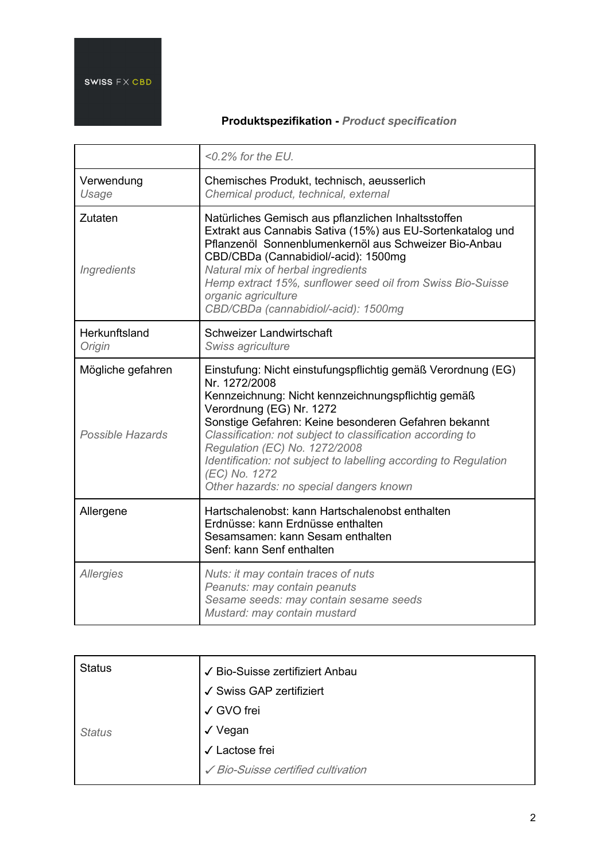|                                       | $<$ 0.2% for the EU.                                                                                                                                                                                                                                                                                                                                                                                                                                   |
|---------------------------------------|--------------------------------------------------------------------------------------------------------------------------------------------------------------------------------------------------------------------------------------------------------------------------------------------------------------------------------------------------------------------------------------------------------------------------------------------------------|
| Verwendung<br>Usage                   | Chemisches Produkt, technisch, aeusserlich<br>Chemical product, technical, external                                                                                                                                                                                                                                                                                                                                                                    |
| Zutaten<br>Ingredients                | Natürliches Gemisch aus pflanzlichen Inhaltsstoffen<br>Extrakt aus Cannabis Sativa (15%) aus EU-Sortenkatalog und<br>Pflanzenöl Sonnenblumenkernöl aus Schweizer Bio-Anbau<br>CBD/CBDa (Cannabidiol/-acid): 1500mg<br>Natural mix of herbal ingredients<br>Hemp extract 15%, sunflower seed oil from Swiss Bio-Suisse<br>organic agriculture<br>CBD/CBDa (cannabidiol/-acid): 1500mg                                                                   |
| Herkunftsland<br>Origin               | Schweizer Landwirtschaft<br>Swiss agriculture                                                                                                                                                                                                                                                                                                                                                                                                          |
| Mögliche gefahren<br>Possible Hazards | Einstufung: Nicht einstufungspflichtig gemäß Verordnung (EG)<br>Nr. 1272/2008<br>Kennzeichnung: Nicht kennzeichnungspflichtig gemäß<br>Verordnung (EG) Nr. 1272<br>Sonstige Gefahren: Keine besonderen Gefahren bekannt<br>Classification: not subject to classification according to<br>Regulation (EC) No. 1272/2008<br>Identification: not subject to labelling according to Regulation<br>(EC) No. 1272<br>Other hazards: no special dangers known |
| Allergene                             | Hartschalenobst: kann Hartschalenobst enthalten<br>Erdnüsse: kann Erdnüsse enthalten<br>Sesamsamen: kann Sesam enthalten<br>Senf: kann Senf enthalten                                                                                                                                                                                                                                                                                                  |
| <b>Allergies</b>                      | Nuts: it may contain traces of nuts<br>Peanuts: may contain peanuts<br>Sesame seeds: may contain sesame seeds<br>Mustard: may contain mustard                                                                                                                                                                                                                                                                                                          |

| <b>Status</b> | √ Bio-Suisse zertifiziert Anbau    |
|---------------|------------------------------------|
|               | √ Swiss GAP zertifiziert           |
|               | √ GVO frei                         |
| <b>Status</b> | √ Vegan                            |
|               | Lactose frei<br>$\checkmark$       |
|               | ✔ Bio-Suisse certified cultivation |
|               |                                    |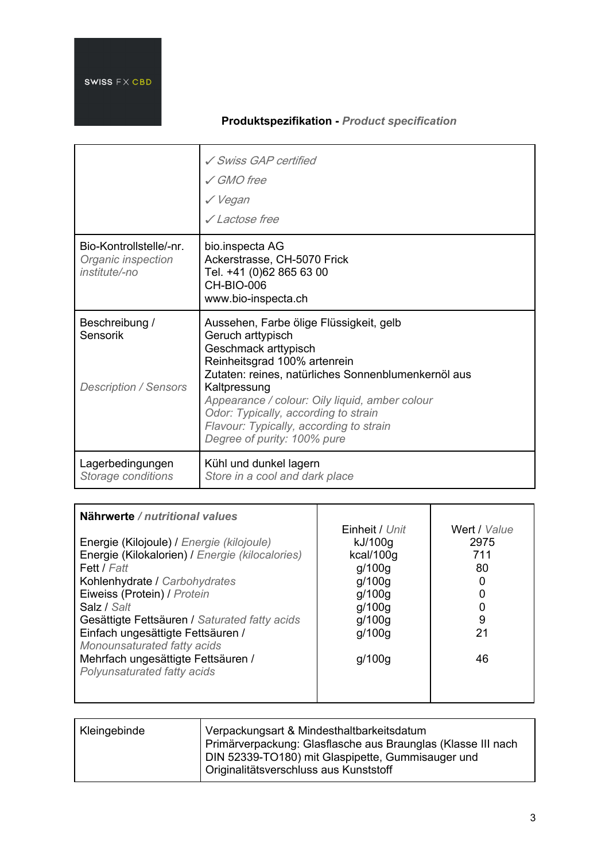|                                                                | ✓ Swiss GAP certified<br>$\angle$ GMO free<br>√ Vegan<br>√ Lactose free                                                                                                                                                                                                                                                                                         |
|----------------------------------------------------------------|-----------------------------------------------------------------------------------------------------------------------------------------------------------------------------------------------------------------------------------------------------------------------------------------------------------------------------------------------------------------|
| Bio-Kontrollstelle/-nr.<br>Organic inspection<br>institute/-no | bio.inspecta AG<br>Ackerstrasse, CH-5070 Frick<br>Tel. +41 (0)62 865 63 00<br>CH-BIO-006<br>www.bio-inspecta.ch                                                                                                                                                                                                                                                 |
| Beschreibung /<br>Sensorik<br><b>Description / Sensors</b>     | Aussehen, Farbe ölige Flüssigkeit, gelb<br>Geruch arttypisch<br>Geschmack arttypisch<br>Reinheitsgrad 100% artenrein<br>Zutaten: reines, natürliches Sonnenblumenkernöl aus<br>Kaltpressung<br>Appearance / colour: Oily liquid, amber colour<br>Odor: Typically, according to strain<br>Flavour: Typically, according to strain<br>Degree of purity: 100% pure |
| Lagerbedingungen<br>Storage conditions                         | Kühl und dunkel lagern<br>Store in a cool and dark place                                                                                                                                                                                                                                                                                                        |

| Nährwerte / nutritional values<br>Energie (Kilojoule) / Energie (kilojoule)<br>Energie (Kilokalorien) / Energie (kilocalories)<br>Fett / Fatt<br>Kohlenhydrate / Carbohydrates<br>Eiweiss (Protein) / Protein<br>Salz / Salt<br>Gesättigte Fettsäuren / Saturated fatty acids | Einheit / Unit<br>kJ/100g<br>kcal/100g<br>q/100q<br>q/100q<br>g/100g<br>q/100q<br>g/100g | Wert / Value<br>2975<br>711<br>80<br>9 |
|-------------------------------------------------------------------------------------------------------------------------------------------------------------------------------------------------------------------------------------------------------------------------------|------------------------------------------------------------------------------------------|----------------------------------------|
| Einfach ungesättigte Fettsäuren /                                                                                                                                                                                                                                             | q/100q                                                                                   | 21                                     |
| Monounsaturated fatty acids<br>Mehrfach ungesättigte Fettsäuren /<br>Polyunsaturated fatty acids                                                                                                                                                                              | q/100q                                                                                   | 46                                     |

| Kleingebinde | Verpackungsart & Mindesthaltbarkeitsdatum                                                                         |
|--------------|-------------------------------------------------------------------------------------------------------------------|
|              | Primärverpackung: Glasflasche aus Braunglas (Klasse III nach<br>DIN 52339-TO180) mit Glaspipette, Gummisauger und |
|              | Originalitätsverschluss aus Kunststoff                                                                            |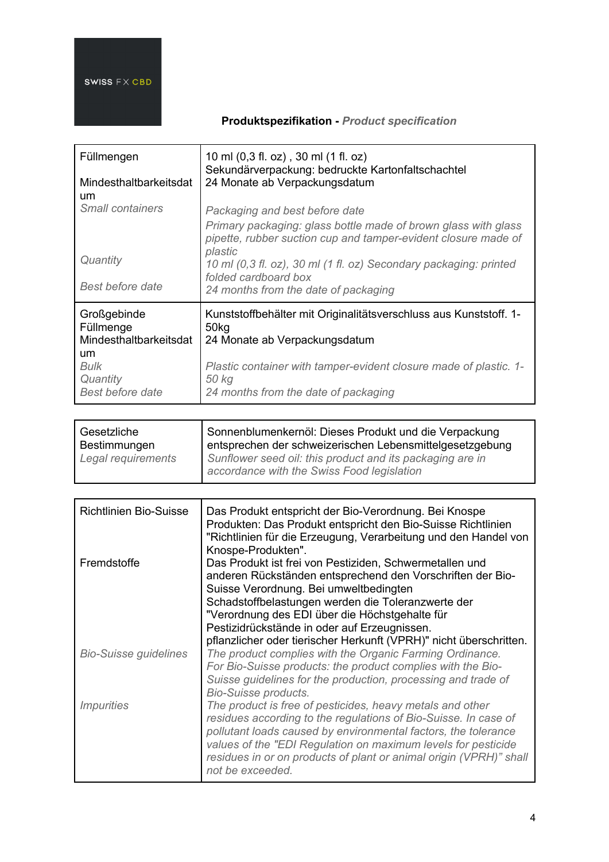| Füllmengen<br>Mindesthaltbarkeitsdat<br>um                                                              | 10 ml (0,3 fl. oz), 30 ml (1 fl. oz)<br>Sekundärverpackung: bedruckte Kartonfaltschachtel<br>24 Monate ab Verpackungsdatum                                                                                                                   |
|---------------------------------------------------------------------------------------------------------|----------------------------------------------------------------------------------------------------------------------------------------------------------------------------------------------------------------------------------------------|
| <b>Small containers</b>                                                                                 | Packaging and best before date<br>Primary packaging: glass bottle made of brown glass with glass<br>pipette, rubber suction cup and tamper-evident closure made of<br>plastic                                                                |
| Quantity<br>Best before date                                                                            | 10 ml (0,3 fl. oz), 30 ml (1 fl. oz) Secondary packaging: printed<br>folded cardboard box<br>24 months from the date of packaging                                                                                                            |
| Großgebinde<br>Füllmenge<br>Mindesthaltbarkeitsdat<br>um<br>Bulk<br>Quantity<br><b>Best before date</b> | Kunststoffbehälter mit Originalitätsverschluss aus Kunststoff. 1-<br>50 <sub>kg</sub><br>24 Monate ab Verpackungsdatum<br>Plastic container with tamper-evident closure made of plastic. 1-<br>50 kg<br>24 months from the date of packaging |

| Gesetzliche        | Sonnenblumenkernöl: Dieses Produkt und die Verpackung                                                   |
|--------------------|---------------------------------------------------------------------------------------------------------|
| Bestimmungen       | entsprechen der schweizerischen Lebensmittelgesetzgebung                                                |
| Legal requirements | Sunflower seed oil: this product and its packaging are in<br>accordance with the Swiss Food legislation |

| <b>Richtlinien Bio-Suisse</b>   | Das Produkt entspricht der Bio-Verordnung. Bei Knospe<br>Produkten: Das Produkt entspricht den Bio-Suisse Richtlinien<br>"Richtlinien für die Erzeugung, Verarbeitung und den Handel von<br>Knospe-Produkten".                                                                                                                                            |
|---------------------------------|-----------------------------------------------------------------------------------------------------------------------------------------------------------------------------------------------------------------------------------------------------------------------------------------------------------------------------------------------------------|
| Fremdstoffe                     | Das Produkt ist frei von Pestiziden, Schwermetallen und<br>anderen Rückständen entsprechend den Vorschriften der Bio-<br>Suisse Verordnung. Bei umweltbedingten<br>Schadstoffbelastungen werden die Toleranzwerte der                                                                                                                                     |
|                                 | "Verordnung des EDI über die Höchstgehalte für<br>Pestizidrückstände in oder auf Erzeugnissen.                                                                                                                                                                                                                                                            |
| <b>Bio-Suisse guidelines</b>    | pflanzlicher oder tierischer Herkunft (VPRH)" nicht überschritten.<br>The product complies with the Organic Farming Ordinance.<br>For Bio-Suisse products: the product complies with the Bio-<br>Suisse guidelines for the production, processing and trade of<br><b>Bio-Suisse products.</b>                                                             |
| <i><u><b>Impurities</b></u></i> | The product is free of pesticides, heavy metals and other<br>residues according to the regulations of Bio-Suisse. In case of<br>pollutant loads caused by environmental factors, the tolerance<br>values of the "EDI Regulation on maximum levels for pesticide<br>residues in or on products of plant or animal origin (VPRH)" shall<br>not be exceeded. |